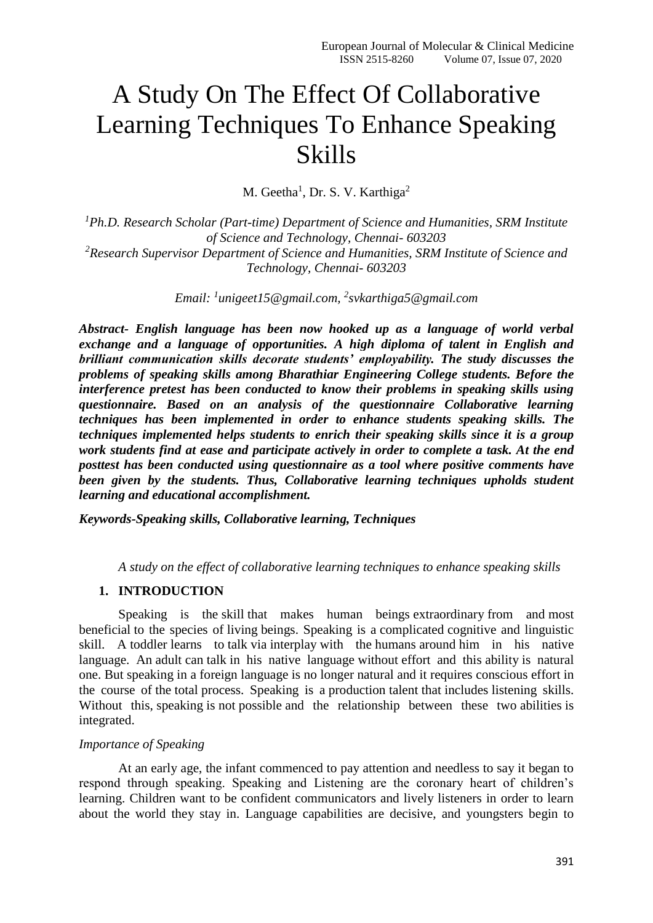# A Study On The Effect Of Collaborative Learning Techniques To Enhance Speaking Skills

M. Geetha<sup>1</sup>, Dr. S. V. Karthiga<sup>2</sup>

*<sup>1</sup>Ph.D. Research Scholar (Part-time) Department of Science and Humanities, SRM Institute of Science and Technology, Chennai- 603203 <sup>2</sup>Research Supervisor Department of Science and Humanities, SRM Institute of Science and Technology, Chennai- 603203*

*Email: <sup>1</sup> [unigeet15@gmail.com,](mailto:1unigeet15@gmail.com) 2 [svkarthiga5@gmail.com](mailto:2svkarthiga5@gmail.com)*

*Abstract- English language has been now hooked up as a language of world verbal exchange and a language of opportunities. A high diploma of talent in English and brilliant communication skills decorate students' employability. The study discusses the problems of speaking skills among Bharathiar Engineering College students. Before the interference pretest has been conducted to know their problems in speaking skills using questionnaire. Based on an analysis of the questionnaire Collaborative learning techniques has been implemented in order to enhance students speaking skills. The techniques implemented helps students to enrich their speaking skills since it is a group work students find at ease and participate actively in order to complete a task. At the end posttest has been conducted using questionnaire as a tool where positive comments have been given by the students. Thus, Collaborative learning techniques upholds student learning and educational accomplishment.* 

*Keywords-Speaking skills, Collaborative learning, Techniques*

*A study on the effect of collaborative learning techniques to enhance speaking skills*

## **1. INTRODUCTION**

Speaking is the skill that makes human beings extraordinary from and most beneficial to the species of living beings. Speaking is a complicated cognitive and linguistic skill. A toddler learns to talk via interplay with the humans around him in his native language. An adult can talk in his native language without effort and this ability is natural one. But speaking in a foreign language is no longer natural and it requires conscious effort in the course of the total process. Speaking is a production talent that includes listening skills. Without this, speaking is not possible and the relationship between these two abilities is integrated.

## *Importance of Speaking*

At an early age, the infant commenced to pay attention and needless to say it began to respond through speaking. Speaking and Listening are the coronary heart of children's learning. Children want to be confident communicators and lively listeners in order to learn about the world they stay in. Language capabilities are decisive, and youngsters begin to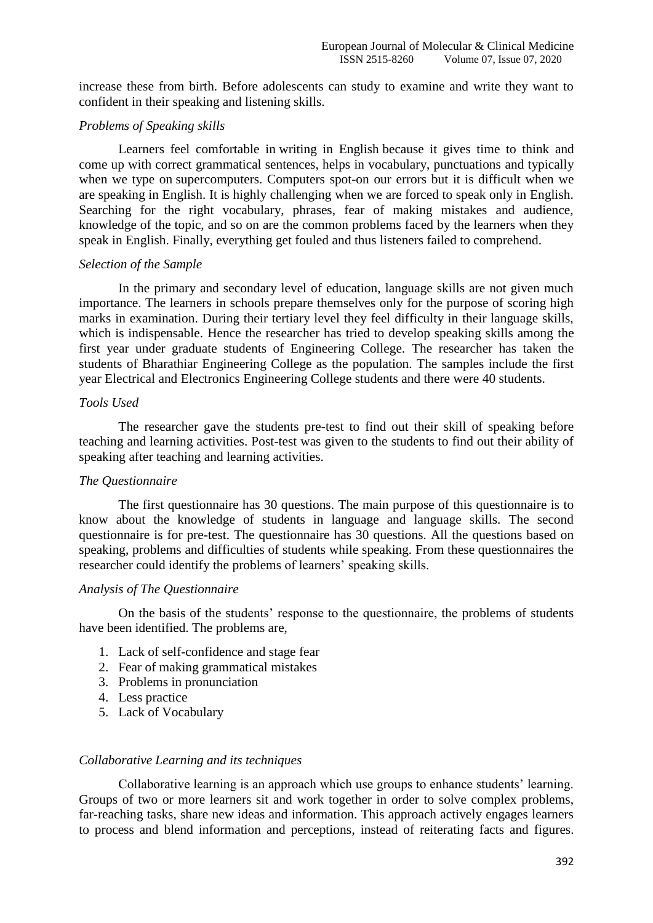increase these from birth. Before adolescents can study to examine and write they want to confident in their speaking and listening skills.

## *Problems of Speaking skills*

Learners feel comfortable in writing in English because it gives time to think and come up with correct grammatical sentences, helps in vocabulary, punctuations and typically when we type on supercomputers. Computers spot-on our errors but it is difficult when we are speaking in English. It is highly challenging when we are forced to speak only in English. Searching for the right vocabulary, phrases, fear of making mistakes and audience, knowledge of the topic, and so on are the common problems faced by the learners when they speak in English. Finally, everything get fouled and thus listeners failed to comprehend.

#### *Selection of the Sample*

In the primary and secondary level of education, language skills are not given much importance. The learners in schools prepare themselves only for the purpose of scoring high marks in examination. During their tertiary level they feel difficulty in their language skills, which is indispensable. Hence the researcher has tried to develop speaking skills among the first year under graduate students of Engineering College. The researcher has taken the students of Bharathiar Engineering College as the population. The samples include the first year Electrical and Electronics Engineering College students and there were 40 students.

# *Tools Used*

The researcher gave the students pre-test to find out their skill of speaking before teaching and learning activities. Post-test was given to the students to find out their ability of speaking after teaching and learning activities.

#### *The Questionnaire*

The first questionnaire has 30 questions. The main purpose of this questionnaire is to know about the knowledge of students in language and language skills. The second questionnaire is for pre-test. The questionnaire has 30 questions. All the questions based on speaking, problems and difficulties of students while speaking. From these questionnaires the researcher could identify the problems of learners' speaking skills.

#### *Analysis of The Questionnaire*

On the basis of the students' response to the questionnaire, the problems of students have been identified. The problems are,

- 1. Lack of self-confidence and stage fear
- 2. Fear of making grammatical mistakes
- 3. Problems in pronunciation
- 4. Less practice
- 5. Lack of Vocabulary

## *Collaborative Learning and its techniques*

Collaborative learning is an approach which use groups to enhance students' learning. Groups of two or more learners sit and work together in order to solve complex problems, far-reaching tasks, share new ideas and information. This approach actively engages learners to process and blend information and perceptions, instead of reiterating facts and figures.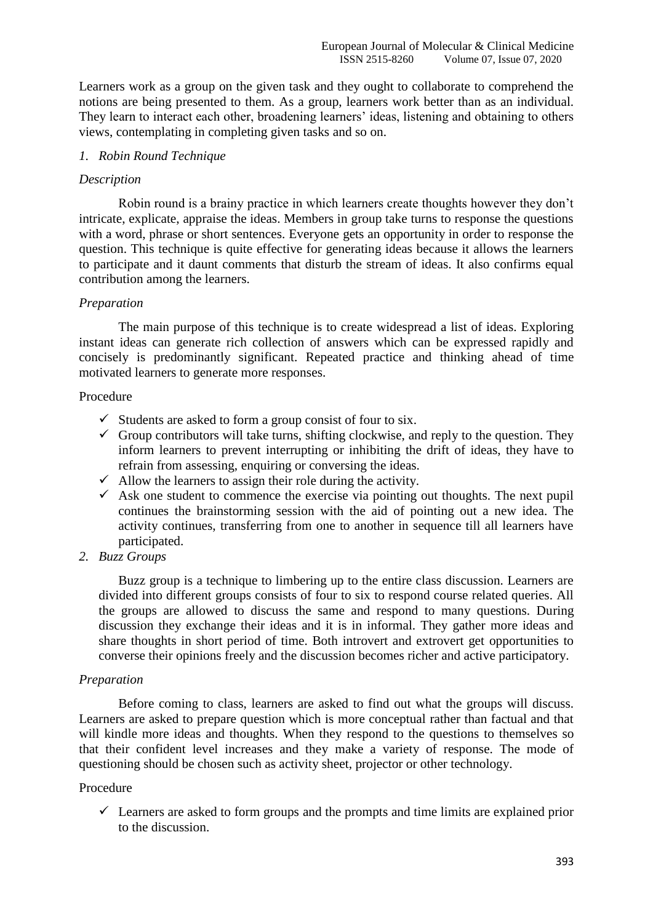Learners work as a group on the given task and they ought to collaborate to comprehend the notions are being presented to them. As a group, learners work better than as an individual. They learn to interact each other, broadening learners' ideas, listening and obtaining to others views, contemplating in completing given tasks and so on.

## *1. Robin Round Technique*

#### *Description*

Robin round is a brainy practice in which learners create thoughts however they don't intricate, explicate, appraise the ideas. Members in group take turns to response the questions with a word, phrase or short sentences. Everyone gets an opportunity in order to response the question. This technique is quite effective for generating ideas because it allows the learners to participate and it daunt comments that disturb the stream of ideas. It also confirms equal contribution among the learners.

## *Preparation*

The main purpose of this technique is to create widespread a list of ideas. Exploring instant ideas can generate rich collection of answers which can be expressed rapidly and concisely is predominantly significant. Repeated practice and thinking ahead of time motivated learners to generate more responses.

## Procedure

- $\checkmark$  Students are asked to form a group consist of four to six.
- $\checkmark$  Group contributors will take turns, shifting clockwise, and reply to the question. They inform learners to prevent interrupting or inhibiting the drift of ideas, they have to refrain from assessing, enquiring or conversing the ideas.
- $\checkmark$  Allow the learners to assign their role during the activity.
- $\checkmark$  Ask one student to commence the exercise via pointing out thoughts. The next pupil continues the brainstorming session with the aid of pointing out a new idea. The activity continues, transferring from one to another in sequence till all learners have participated.
- *2. Buzz Groups*

Buzz group is a technique to limbering up to the entire class discussion. Learners are divided into different groups consists of four to six to respond course related queries. All the groups are allowed to discuss the same and respond to many questions. During discussion they exchange their ideas and it is in informal. They gather more ideas and share thoughts in short period of time. Both introvert and extrovert get opportunities to converse their opinions freely and the discussion becomes richer and active participatory.

#### *Preparation*

Before coming to class, learners are asked to find out what the groups will discuss. Learners are asked to prepare question which is more conceptual rather than factual and that will kindle more ideas and thoughts. When they respond to the questions to themselves so that their confident level increases and they make a variety of response. The mode of questioning should be chosen such as activity sheet, projector or other technology.

#### Procedure

 $\checkmark$  Learners are asked to form groups and the prompts and time limits are explained prior to the discussion.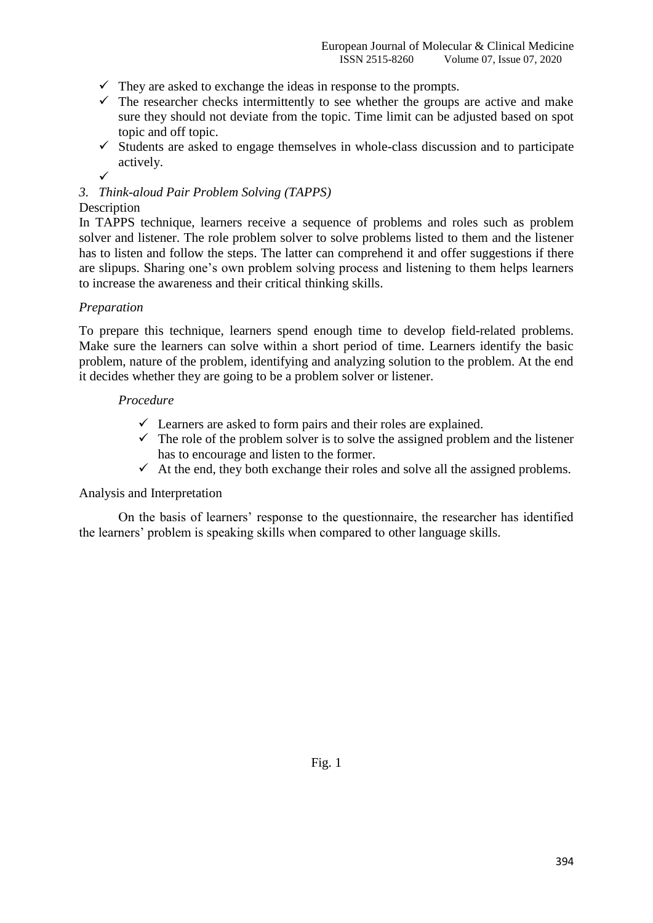- $\checkmark$  They are asked to exchange the ideas in response to the prompts.
- $\checkmark$  The researcher checks intermittently to see whether the groups are active and make sure they should not deviate from the topic. Time limit can be adjusted based on spot topic and off topic.
- $\checkmark$  Students are asked to engage themselves in whole-class discussion and to participate actively.
- $\checkmark$

# *3. Think-aloud Pair Problem Solving (TAPPS)*

## Description

In TAPPS technique, learners receive a sequence of problems and roles such as problem solver and listener. The role problem solver to solve problems listed to them and the listener has to listen and follow the steps. The latter can comprehend it and offer suggestions if there are slipups. Sharing one's own problem solving process and listening to them helps learners to increase the awareness and their critical thinking skills.

## *Preparation*

To prepare this technique, learners spend enough time to develop field-related problems. Make sure the learners can solve within a short period of time. Learners identify the basic problem, nature of the problem, identifying and analyzing solution to the problem. At the end it decides whether they are going to be a problem solver or listener.

## *Procedure*

- $\checkmark$  Learners are asked to form pairs and their roles are explained.
- $\checkmark$  The role of the problem solver is to solve the assigned problem and the listener has to encourage and listen to the former.
- $\checkmark$  At the end, they both exchange their roles and solve all the assigned problems.

## Analysis and Interpretation

On the basis of learners' response to the questionnaire, the researcher has identified the learners' problem is speaking skills when compared to other language skills.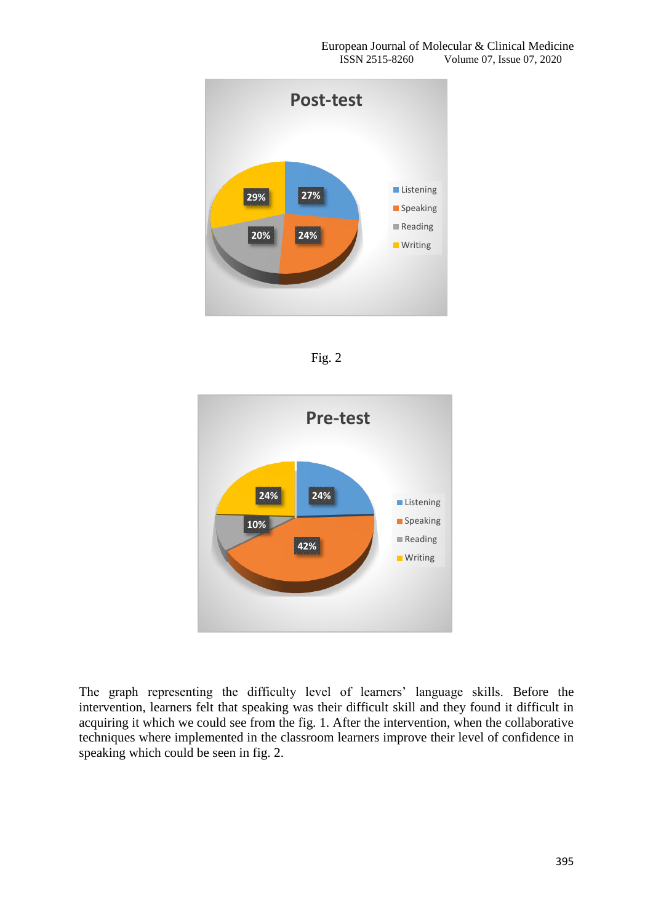





The graph representing the difficulty level of learners' language skills. Before the intervention, learners felt that speaking was their difficult skill and they found it difficult in acquiring it which we could see from the fig. 1. After the intervention, when the collaborative techniques where implemented in the classroom learners improve their level of confidence in speaking which could be seen in fig. 2.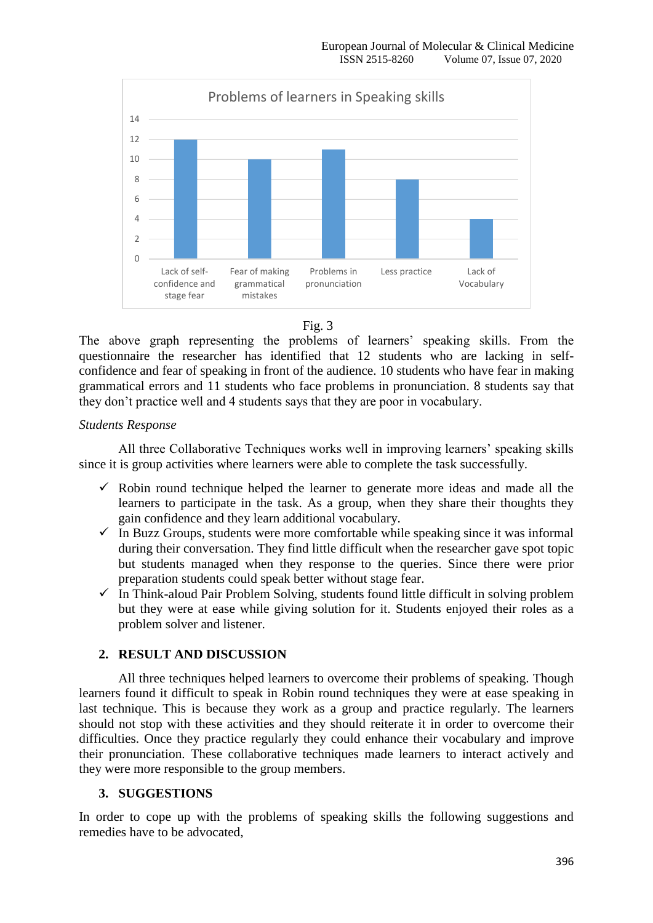

Fig. 3

The above graph representing the problems of learners' speaking skills. From the questionnaire the researcher has identified that 12 students who are lacking in selfconfidence and fear of speaking in front of the audience. 10 students who have fear in making grammatical errors and 11 students who face problems in pronunciation. 8 students say that they don't practice well and 4 students says that they are poor in vocabulary.

## *Students Response*

All three Collaborative Techniques works well in improving learners' speaking skills since it is group activities where learners were able to complete the task successfully.

- $\checkmark$  Robin round technique helped the learner to generate more ideas and made all the learners to participate in the task. As a group, when they share their thoughts they gain confidence and they learn additional vocabulary.
- $\checkmark$  In Buzz Groups, students were more comfortable while speaking since it was informal during their conversation. They find little difficult when the researcher gave spot topic but students managed when they response to the queries. Since there were prior preparation students could speak better without stage fear.
- $\checkmark$  In Think-aloud Pair Problem Solving, students found little difficult in solving problem but they were at ease while giving solution for it. Students enjoyed their roles as a problem solver and listener.

# **2. RESULT AND DISCUSSION**

All three techniques helped learners to overcome their problems of speaking. Though learners found it difficult to speak in Robin round techniques they were at ease speaking in last technique. This is because they work as a group and practice regularly. The learners should not stop with these activities and they should reiterate it in order to overcome their difficulties. Once they practice regularly they could enhance their vocabulary and improve their pronunciation. These collaborative techniques made learners to interact actively and they were more responsible to the group members.

# **3. SUGGESTIONS**

In order to cope up with the problems of speaking skills the following suggestions and remedies have to be advocated,